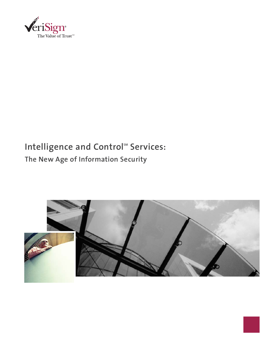

# Intelligence and Control<sup>5M</sup> Services: **The New Age of Information Security**



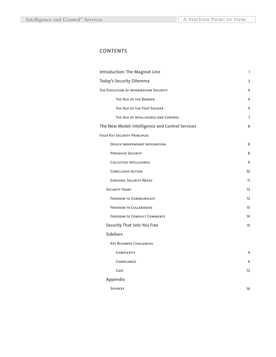# **CONTENTS**

| Introduction: The Maginot Line                   | 1              |
|--------------------------------------------------|----------------|
| <b>Today's Security Dilemma</b>                  | $\overline{2}$ |
| THE EVOLUTION OF INFORMATION SECURITY            | 4              |
| THE AGE OF THE BARRIER                           | 4              |
| THE AGE OF THE FOOT SOLDIER                      | 4              |
| THE AGE OF INTELLIGENCE AND CONTROL              | $\overline{7}$ |
| The New Model: Intelligence and Control Services | 8              |
| <b>FOUR KEY SECURITY PRINCIPLES</b>              |                |
| <b>DEVICE INDEPENDENT INTEGRATION</b>            | 8              |
| <b>PERVASIVE SECURITY</b>                        | 8              |
| <b>COLLECTIVE INTELLIGENCE</b>                   | 9              |
| <b>CONCLUSIVE ACTION</b>                         | 10             |
| <b>EVOLVING SECURITY NEEDS</b>                   | 11             |
| <b>SECURITY TODAY</b>                            | 12             |
| <b>FREEDOM TO COMMUNICATE</b>                    | 12             |
| <b>FREEDOM TO COLLABORATE</b>                    | 13             |
| <b>FREEDOM TO CONDUCT COMMERCE</b>               | 14             |
| <b>Security That Sets You Free</b>               | 15             |
| <b>Sidebars</b>                                  |                |
| <b>KEY BUSINESS CHALLENGES</b>                   |                |
| <b>COMPLEXITY</b>                                | 4              |
| <b>COMPLIANCE</b>                                | 6              |
| COST                                             | 12             |
| Appendix                                         |                |
| <b>SOURCES</b>                                   | 16             |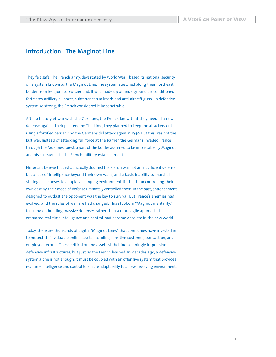# **Introduction: The Maginot Line**

They felt safe. The French army, devastated by World War I, based its national security on a system known as the Maginot Line. The system stretched along their northeast border from Belgium to Switzerland. It was made up of underground air-conditioned fortresses, artillery pillboxes, subterranean railroads and anti-aircraft guns—a defensive system so strong, the French considered it impenetrable.

After a history of war with the Germans, the French knew that they needed a new defense against their past enemy. This time, they planned to keep the attackers out using a fortified barrier. And the Germans did attack again in 1940. But this was not the last war. Instead of attacking full force at the barrier, the Germans invaded France through the Ardennes forest, a part of the border assumed to be impassable by Maginot and his colleagues in the French military establishment.

Historians believe that what actually doomed the French was not an insufficient defense, but a lack of intelligence beyond their own walls, and a basic inability to marshal strategic responses to a rapidly changing environment. Rather than controlling their own destiny, their mode of defense ultimately controlled them. In the past, entrenchment designed to outlast the opponent was the key to survival. But France's enemies had evolved, and the rules of warfare had changed. This stubborn "Maginot mentality," focusing on building massive defenses rather than a more agile approach that embraced real-time intelligence and control, had become obsolete in the new world.

Today, there are thousands of digital "Maginot Lines" that companies have invested in to protect their valuable online assets including sensitive customer, transaction, and employee records. These critical online assets sit behind seemingly impressive defensive infrastructures, but just as the French learned six decades ago, a defensive system alone is not enough. It must be coupled with an offensive system that provides real-time intelligence and control to ensure adaptability to an ever-evolving environment.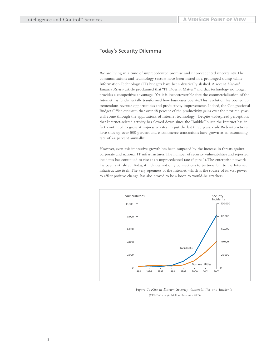### **Today's Security Dilemma**

We are living in a time of unprecedented promise and unprecedented uncertainty.The communications and technology sectors have been mired in a prolonged slump while Information Technology (IT) budgets have been drastically slashed. A recent *Harvard Business Review* article proclaimed that "IT Doesn't Matter," and that technology no longer provides a competitive advantage.1 Yet it is incontrovertible that the commercialization of the Internet has fundamentally transformed how businesses operate.This revolution has opened up tremendous revenue opportunities and productivity improvements. Indeed, the Congressional Budget Office estimates that over 48 percent of the productivity gains over the next ten years will come through the applications of Internet technology.<sup>2</sup> Despite widespread perceptions that Internet-related activity has slowed down since the "bubble" burst, the Internet has, in fact, continued to grow at impressive rates. In just the last three years, daily Web interactions have shot up over 500 percent and e-commerce transactions have grown at an astounding rate of 74 percent annually.<sup>3</sup>

However, even this impressive growth has been outpaced by the increase in threats against corporate and national IT infrastructures.The number of security vulnerabilities and reported incidents has continued to rise at an unprecedented rate (figure 1).The enterprise network has been virtualized.Today, it includes not only connections to partners, but to the Internet infrastructure itself.The very openness of the Internet, which is the source of its vast power to affect positive change, has also proved to be a boon to would-be attackers.



*Figure 1: Rise in Known Security Vulnerabilities and Incidents* (CERT/Carnegie Mellon University 2003)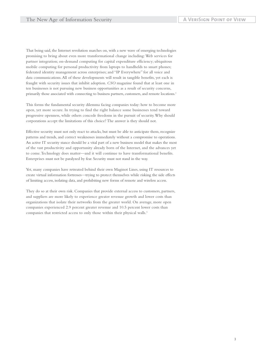That being said, the Internet revolution marches on, with a new wave of emerging technologies promising to bring about even more transformational change including: Web services for partner integration; on-demand computing for capital expenditure efficiency; ubiquitous mobile computing for personal productivity from laptops to handhelds to smart phones; federated identity management across enterprises; and "IP Everywhere" for all voice and data communications.All of these developments will result in tangible benefits, yet each is fraught with security issues that inhibit adoption. *CSO* magazine found that at least one in ten businesses is not pursuing new business opportunities as a result of security concerns, primarily those associated with connecting to business partners, customers, and remote locations.4

This forms the fundamental security dilemma facing companies today: how to become more open, yet more secure. In trying to find the right balance some businesses tend toward progressive openness, while others concede freedoms in the pursuit of security.Why should corporations accept the limitations of this choice? The answer is they should not.

Effective security must not only react to attacks, but must be able to anticipate them, recognize patterns and trends, and correct weaknesses immediately without a compromise to operations. An active IT security stance should be a vital part of a new business model that makes the most of the vast productivity and opportunity already born of the Internet, and the advances yet to come.Technology does matter—and it will continue to have transformational benefits. Enterprises must not be paralyzed by fear. Security must not stand in the way.

Yet, many companies have retreated behind their own Maginot Lines, using IT resources to create virtual information fortresses—trying to protect themselves while risking the side effects of limiting access, isolating data, and prohibiting new forms of remote and wireless access.

They do so at their own risk. Companies that provide external access to customers, partners, and suppliers are more likely to experience greater revenue growth and lower costs than organizations that isolate their networks from the greater world. On average, more open companies experienced 2.9 percent greater revenue and 10.5 percent lower costs than companies that restricted access to only those within their physical walls.<sup>5</sup>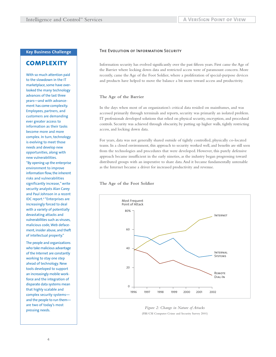### **Key Business Challenge**

# **complexity**

With so much attention paid to the slowdown in the IT marketplace, some have overlooked the many technology advances of the last three years—and with advancement has come complexity. Employees, partners, and customers are demanding ever greater access to information as their tasks become more and more complex. In turn, technology is evolving to meet those needs and develop new opportunities, along with new vulnerabilities. "By opening up the enterprise environment to improve information flow, the inherent risks and vulnerabilities significantly increase," write security analysts Alan Carey and Paul Johnson in a recent IDC report.6 "Enterprises are increasingly forced to deal with a variety of potentially devastating attacks and vulnerabilities such as viruses, malicious code, Web defacement, insider abuse, and theft of intellectual property."

The people and organizations who take malicious advantage of the Internet are constantly working to stay one step ahead of technology. New tools developed to support an increasingly mobile workforce and the integration of disparate data systems mean that highly scalable and complex security systems and the people to run them are two of today's most pressing needs.

#### **The Evolution of Information Security**

Information security has evolved significantly over the past fifteen years. First came the Age of the Barrier where locking down data and restricted access were of paramount concern. More recently, came the Age of the Foot Soldier, where a proliferation of special-purpose devices and products have helped to move the balance a bit more toward access and productivity.

#### **The Age of the Barrier**

In the days when most of an organization's critical data resided on mainframes, and was accessed primarily through terminals and reports, security was primarily an isolated problem. IT professionals developed solutions that relied on physical security, encryption, and procedural controls. Security was achieved through obscurity, by putting up higher walls, tightly restricting access, and locking down data.

For years, data was not generally shared outside of tightly controlled, physically co-located teams. In a closed environment, this approach to security worked well, and benefits are still seen from the technologies and procedures that were developed. However, this purely defensive approach became insufficient in the early nineties, as the industry began progressing toward distributed groups with an imperative to share data.And it became fundamentally untenable as the Internet became a driver for increased productivity and revenue.

#### **The Age of the Foot Soldier**



*Figure 2: Change in Nature of Attacks* (FBI/CSI Computer Crime and Security Survey 2001)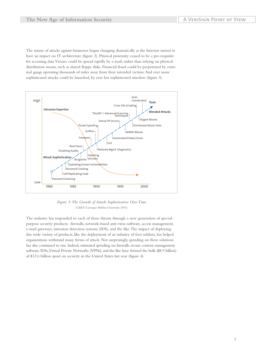The nature of attacks against businesses began changing dramatically as the Internet started to have an impact on IT architecture (figure 2). Physical proximity ceased to be a pre-requisite for accessing data.Viruses could be spread rapidly by e-mail, rather than relying on physical distribution means, such as shared floppy disks. Financial fraud could be perpetrated by criminal gangs operating thousands of miles away from their intended victims.And ever more sophisticated attacks could be launched, by ever less sophisticated attackers (figure 3).



*Figure 3:The Growth of Attack Sophistication Over Time* (CERT/Carnegie Mellon University 2001)

The industry has responded to each of these threats through a new generation of specialpurpose security products: firewalls, network-based anti-virus software, access management, e-mail gateways, intrusion detection systems (IDS), and the like.The impact of deploying this wide variety of products, like the deployment of an infantry of foot soldiers, has helped organizations withstand many forms of attack. Not surprisingly, spending on these solutions has also continued to rise. Indeed, estimated spending on firewalls, secure content management software, IDSs,Virtual Private Networks (VPNs), and the like have formed the bulk (\$8.9 billion) of \$12.6 billion spent on security in the United States last year (figure 4).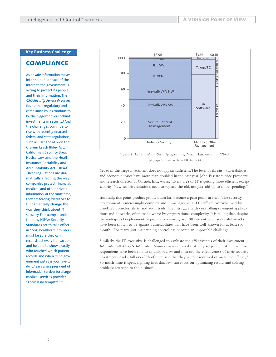### **Key Business Challenge**

## **compliance**

As private information moves into the public space of the Internet, the government is acting to protect its people and their information. The CSO Security Sensor IV survey found that regulatory and compliance issues continue to be the biggest drivers behind investments in security.<sup>9</sup> And the challenges continue to rise with recently-enacted federal and state regulations, such as Sarbanes-Oxley, the Gramm Leach Bliley Act, California's Security Breach Notice Law, and the Health Insurance Portability and Accountability Act (HIPAA). These regulations are dramatically affecting the way companies protect financial, medical, and other private information. At the same time, they are forcing executives to fundamentally change the way they think about IT security. For example, under the new HIPAA Security Standards set to take effect in 2005, healthcare providers must be sure they can reconstruct every transaction and be able to show exactly who touched which patient records and when. "The government just says you have to do it," says a vice president of information services for a large medical services provider. "There is no template."<sup>10</sup>



*Figure 4: Estimated IT Security Spending, North America Only (2003)* (VeriSign extrapolation from IDC forecasts)

Yet even this large investment does not appear sufficient.The level of threats, vulnerabilities, and economic losses have more than doubled in the past year. John Pescatore, vice president and research director at Gartner, Inc., warns,"Every area of IT is getting more efficient except security. New security solutions need to replace the old, not just add up to more spending."

Ironically, this point product proliferation has become a pain point in itself. The security environment is increasingly complex and unmanageable as IT staff are overwhelmed by unrelated consoles, alerts, and audit trails.They struggle with controlling divergent applications and networks, often made worse by organizational complexity. It is telling that, despite the widespread deployment of protective devices, over 90 percent of all successful attacks have been shown to be against vulnerabilities that have been well-known for at least six months. For many, just maintaining control has become an impossible challenge.

Similarly, the IT executive is challenged to evaluate the effectiveness of their investment. *Information Week's U.S. Information Security Survey* showed that only 40 percent of IT executive respondents have been able to actually review and measure the effectiveness of their security investments.And a full one-fifth of them said that they neither reviewed or measured efficacy.8 So much time is spent fighting fires that few can focus on optimizing results and solving problems strategic to the business.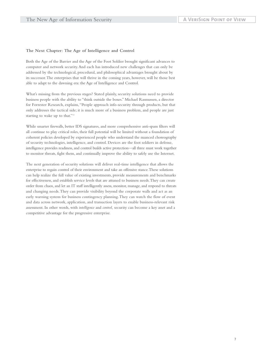#### **The Next Chapter: The Age of Intelligence and Control**

Both the Age of the Barrier and the Age of the Foot Soldier brought significant advances to computer and network security.And each has introduced new challenges that can only be addressed by the technological, procedural, and philosophical advantages brought about by its successor.The enterprises that will thrive in the coming years, however, will be those best able to adapt to the dawning era: the Age of Intelligence and Control.

What's missing from the previous stages? Stated plainly, security solutions need to provide business people with the ability to "think outside the boxes." Michael Rasmussen, a director for Forrester Research, explains,"People approach info-security through products, but that only addresses the tactical side; it is much more of a business problem, and people are just starting to wake up to that."11

While smarter firewalls, better IDS signatures, and more comprehensive anti-spam filters will all continue to play critical roles, their full potential will be limited without a foundation of coherent policies developed by experienced people who understand the nuanced choreography of security technologies, intelligence, and control. Devices are the foot soldiers in defense, intelligence provides readiness, and control builds active protection—all three must work together to monitor threats, fight them, and continually improve the ability to safely use the Internet.

The next generation of security solutions will deliver real-time intelligence that allows the enterprise to regain control of their environment and take an offensive stance.These solutions can help realize the full value of existing investments, provide measurements and benchmarks for effectiveness, and establish service levels that are attuned to business needs.They can create order from chaos, and let an IT staff intelligently assess, monitor, manage, and respond to threats and changing needs.They can provide visibility beyond the corporate walls and act as an early warning system for business contingency planning.They can watch the flow of event and data across network, application, and transaction layers to enable business-relevant risk assessment. In other words, with *intelligence* and *control,* security can become a key asset and a competitive advantage for the progressive enterprise.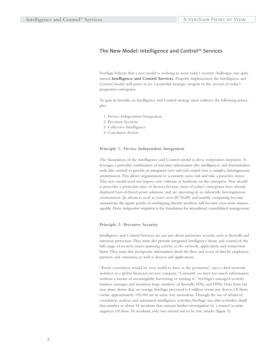### **The New Model: Intelligence and ControlSM Services**

VeriSign believes that a new model is evolving to meet today's security challenges, one aptly named **Intelligence and Control Services.** Properly implemented, the Intelligence and Control model will prove to be a powerful strategic weapon in the arsenal of today's progressive enterprises.

To gain its benefits, an Intelligence and Control strategy must embrace the following principles:

- 1. Device Independent Integration
- 2. Pervasive Security
- 3. Collective Intelligence
- 4. Conclusive Action

#### **Principle 1: Device Independent Integration**

The foundation of the Intelligence and Control model is *device independent integration.* It leverages a powerful combination of real-time information (the intelligence) and determinative tools (the control) to provide an integrated view and real control over a complex, heterogeneous environment.This allows organizations to accurately assess risk and take a proactive stance. This new model need not impose new software or hardware on the enterprise. Nor should it prescribe a particular suite of devices because most of today's enterprises have already deployed best-of-breed point solutions, and are operating in an inherently heterogeneous environment. As advances such as voice-over-IP (VoIP) and mobile computing become mainstream, the jigsaw puzzle of overlapping discrete products will become even more unmanageable. *Device independent integration* is the foundation for streamlined, consolidated management.

#### **Principle 2: Pervasive Security**

Intelligence and Control Services are not just about perimeter security such as firewalls and intrusion protection.They must also provide integrated intelligence about, and control of, the full range of security issues spanning activity at the network, application, and transaction layers.They must also incorporate information about the flow and access of data by employees, partners, and customers, as well as devices and applications.

"Event correlation would be very useful to have at the perimeter," says a chief network architect at a global financial services company."Currently we have too much information without a means of meaningfully harvesting or mining it." VeriSign's managed security business manages and monitors large numbers of firewalls, IDSs, and VPNs. Data from last year alone shows that, on average,VeriSign processed 6.4 million events per device. Of those events, approximately 100,000 are in some way anomalous.Through the use of advanced correlation, analysis, and automated intelligence activities,VeriSign was able to further distill that number to about 54 incidents that warrant further investigation by a trained security engineer. Of those 54 incidents, only two turned out to be true attacks (figure 5).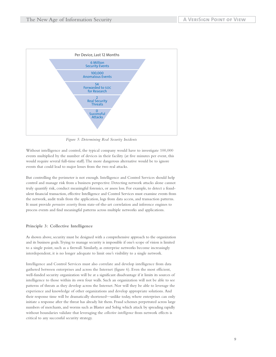

*Figure 5: Determining Real Security Incidents* 

Without intelligence and control, the typical company would have to investigate 100,000 events multiplied by the number of devices in their facility (at five minutes per event, this would require several full-time staff).The more dangerous alternative would be to ignore events that could lead to major losses from the two real attacks.

But controlling the perimeter is not enough. Intelligence and Control Services should help control and manage risk from a business perspective. Detecting network attacks alone cannot truly quantify risk, conduct meaningful forensics, or assess loss. For example, to detect a fraudulent financial transaction, effective Intelligence and Control Services must examine events from the network, audit trails from the application, logs from data access, and transaction patterns. It must provide *pervasive security* from state-of-the-art correlation and inference engines to process events and find meaningful patterns across multiple networks and applications.

#### **Principle 3: Collective Intelligence**

As shown above, security must be designed with a comprehensive approach to the organization and its business goals.Trying to manage security is impossible if one's scope of vision is limited to a single point, such as a firewall. Similarly, as enterprise networks become increasingly interdependent, it is no longer adequate to limit one's visibility to a single network.

Intelligence and Control Services must also correlate and develop intelligence from data gathered between enterprises and across the Internet (figure 6). Even the most efficient, well-funded security organization will be at a significant disadvantage if it limits its sources of intelligence to those within its own four walls. Such an organization will not be able to see patterns of threats as they develop across the Internet. Nor will they be able to leverage the experience and knowledge of other organizations and develop appropriate solutions. And their response time will be dramatically shortened—unlike today, where enterprises can only initiate a response after the threat has already hit them. Fraud schemes perpetrated across large numbers of merchants, and worms such as Blaster and Sobig which attack by spreading rapidly without boundaries validate that leveraging the *collective intelligence* from network effects is critical to any successful security strategy.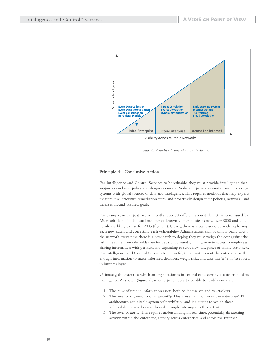

*Figure 6:Visibility Across Multiple Networks*

#### **Principle 4: Conclusive Action**

For Intelligence and Control Services to be valuable, they must provide intelligence that supports conclusive policy and design decisions. Public and private organizations must design systems with global sources of data and intelligence.This requires methods that help experts measure risk, prioritize remediation steps, and proactively design their policies, networks, and defenses around business goals.

For example, in the past twelve months, over 70 different security bulletins were issued by Microsoft alone.12 The total number of known vulnerabilities is now over 8000 and that number is likely to rise for 2003 (figure 1). Clearly, there is a cost associated with deploying each new patch and correcting each vulnerability.Administrators cannot simply bring down the network every time there is a new patch to deploy, they must weigh the cost against the risk.The same principle holds true for decisions around granting remote access to employees, sharing information with partners, and expanding to serve new categories of online customers. For Intelligence and Control Services to be useful, they must present the enterprise with enough information to make informed decisions, weigh risks, and take *conclusive action* rooted in business logic.

Ultimately, the extent to which an organization is in control of its destiny is a function of its intelligence. As shown (figure 7), an enterprise needs to be able to readily correlate:

- 1. The *value* of unique information assets, both to themselves and to attackers.
- 2. The level of organizational *vulnerability*.This is itself a function of the enterprise's IT architecture, exploitable system vulnerabilities, and the extent to which those vulnerabilities have been addressed through patching or other activities.
- 3. The level of *threat*. This requires understanding, in real time, potentially threatening activity within the enterprise, activity across enterprises, and across the Internet.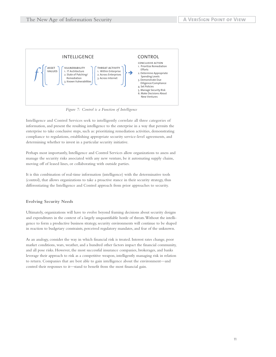

*Figure 7: Control is a Function of Intelligence*

Intelligence and Control Services seek to intelligently correlate all three categories of information, and present the resulting intelligence to the enterprise in a way that permits the enterprise to take conclusive steps, such as: prioritizing remediation activities, demonstrating compliance to regulations, establishing appropriate security service-level agreements, and determining whether to invest in a particular security initiative.

Perhaps most importantly, Intelligence and Control Services allow organizations to assess and manage the security risks associated with any new venture, be it automating supply chains, moving off of leased lines, or collaborating with outside parties.

It is this combination of real-time information (intelligence) with the determinative tools (control), that allows organizations to take a proactive stance in their security strategy, thus differentiating the Intelligence and Control approach from prior approaches to security.

#### **Evolving Security Needs**

Ultimately, organizations will have to evolve beyond framing decisions about security designs and expenditures in the context of a largely unquantifiable horde of threats.Without the intelligence to form a productive business strategy, security environments will continue to be shaped in reaction to budgetary constraints, perceived regulatory mandates, and fear of the unknown.

As an analogy, consider the way in which financial risk is treated. Interest rates change, poor market conditions, wars, weather, and a hundred other factors impact the financial community, and all pose risks. However, the most successful insurance companies, brokerages, and banks leverage their approach to risk as a competitive weapon, intelligently managing risk in relation to return. Companies that are best able to gain intelligence about the environment—and control their responses to it—stand to benefit from the most financial gain.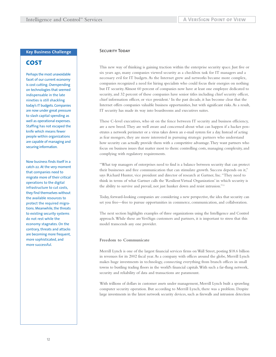#### **Key Business Challenge**

# **cost**

Perhaps the most unavoidable facet of our current economy is cost cutting. Overspending on technologies that seemed indispensable in the late nineties is still shackling today's IT budgets. Companies are now under great pressure to slash capital spending as well as operational expenses. Staffing has not escaped the knife which means fewer people within organizations are capable of managing and securing information.

Now business finds itself in a catch-22. At the very moment that companies need to migrate more of their critical operations to the digital infrastructure to cut costs, they find themselves without the available resources to protect the required migrations. Meanwhile, the threats to existing security systems do not rest while the economy stagnates. On the contrary, threats and attacks are becoming more frequent, more sophisticated, and more successful.

#### **SECURITY TODAY**

This new way of thinking is gaining traction within the enterprise security space. Just five or six years ago, many companies viewed security as a checkbox task for IT managers and a necessary evil for IT budgets. As the Internet grew and networks became more complex, companies recognized a need for hiring specialists who could focus their energies on nothing but IT security.Almost 60 percent of companies now have at least one employee dedicated to security, and 32 percent of these companies have senior titles including chief security officer, chief information officer, or vice president.<sup>4</sup> In the past decade, it has become clear that the Internet offers companies valuable business opportunities, but with significant risks.As a result, IT security has made its way into boardrooms and executives suites.

These C-level executives, who sit on the fence between IT security and business efficiency, are a new breed.They are well aware and concerned about what can happen if a hacker penetrates a network perimeter or a virus takes down an e-mail system for a day. Instead of acting as fear mongers, they are more interested in pursuing strategic partners who understand how security can actually provide them with a competitive advantage.They want partners who focus on business issues that matter most to them: controlling costs, managing complexity, and complying with regulatory requirements.

"What top managers of enterprises need to find is a balance between security that can protect their businesses and free communication that can stimulate growth. Success depends on it," says Richard Hunter, vice president and director of research at Gartner, Inc."They need to think in terms of what Gartner calls the 'Resilient Virtual Organization' in which security is the ability to survive and prevail, not just hunker down and resist intrusion."13

Today, forward-looking companies are considering a new perspective, the idea that security can set you free—free to pursue opportunities in commerce, communication, and collaboration.

The next section highlights examples of three organizations using the Intelligence and Control approach.While these are VeriSign customers and partners, it is important to stress that this model transcends any one provider.

#### **Freedom to Communicate**

Merrill Lynch is one of the largest financial services firms on Wall Street, posting \$18.6 billion in revenues for its 2002 fiscal year.As a company with offices around the globe, Merrill Lynch makes huge investments in technology, connecting everything from branch offices in small towns to bustling trading floors in the world's financial capitals.With such a far-flung network, security and reliability of data and transactions are paramount.

With trillions of dollars in customer assets under management, Merrill Lynch built a sprawling computer security operation. But according to Merrill Lynch, there was a problem. Despite large investments in the latest network security devices, such as firewalls and intrusion detection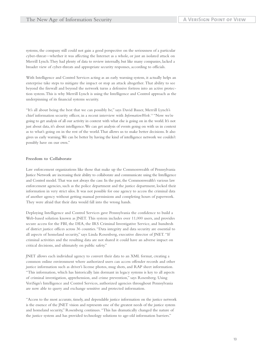systems, the company still could not gain a good perspective on the seriousness of a particular cyber-threat—whether it was affecting the Internet as a whole, or just an isolated attack on Merrill Lynch.They had plenty of data to review internally, but like many companies, lacked a broader view of cyber-threats and appropriate security responses, according to officials.

With Intelligence and Control Services acting as an early warning system, it actually helps an enterprise take steps to mitigate the impact or stop an attack altogether. That ability to see beyond the firewall and beyond the network turns a defensive fortress into an active protection system.This is why Merrill Lynch is using the Intelligence and Control approach as the underpinning of its financial systems security.

"It's all about being the best that we can possibly be," says David Bauer, Merrill Lynch's chief information security officer, in a recent interview with *InformationWeek.*<sup>14</sup> "Now we're going to get analysis of all our activity in context with what else is going on in the world. It's not just about data, it's about intelligence. We can get analysis of events going on with us in context as to what's going on in the rest of the world.That allows us to make better decisions. It also gives us early warning.We can be better by having the kind of intelligence network we couldn't possibly have on our own."

#### **Freedom to Collaborate**

Law enforcement organizations like those that make up the Commonwealth of Pennsylvania Justice Network are increasing their ability to collaborate and communicate using the Intelligence and Control model. That was not always the case. In the past, the Commonwealth's various law enforcement agencies, such as the police department and the justice department, locked their information in very strict silos. It was not possible for one agency to access the criminal data of another agency without getting manual permissions and completing hours of paperwork. They were afraid that their data would fall into the wrong hands.

Deploying Intelligence and Control Services gave Pennsylvania the confidence to build a Web-based solution known as JNET. This system includes over 11,000 users, and provides secure access for the FBI, the DEA, the IRS Criminal Investigative Service, and hundreds of district justice offices across 36 counties."Data integrity and data security are essential to all aspects of homeland security," says Linda Rosenberg, executive director of JNET. "If criminal activities and the resulting data are not shared it could have an adverse impact on critical decisions, and ultimately on public safety."

JNET allows each individual agency to convert their data to an XML format, creating a common online environment where authorized users can access offender records and other justice information such as driver's license photos, mug shots, and RAP sheet information. "This information, which has historically lain dormant in legacy systems is key to all aspects of criminal investigation, apprehension, and crime prevention," says Rosenberg. Using VeriSign's Intelligence and Control Services, authorized agencies throughout Pennsylvania are now able to query and exchange sensitive and protected information.

"Access to the most accurate, timely, and dependable justice information on the justice network is the essence of the JNET vision and represents one of the greatest needs of the justice system and homeland security," Rosenberg continues. "This has dramatically changed the nature of the justice system and has provided technology solutions to age-old information barriers."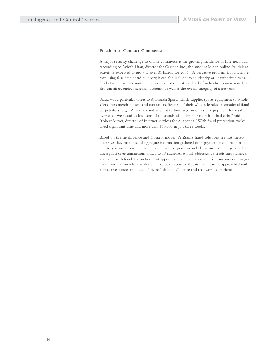#### **Freedom to Conduct Commerce**

A major security challenge to online commerce is the growing incidence of Internet fraud. According to Avivah Litan, director for Gartner, Inc., the amount lost in online fraudulent activity is expected to grow to over \$1 billion for 2003.15 A pervasive problem, fraud is more than using false credit card numbers; it can also include stolen identity or unauthorized transfers between cash accounts. Fraud occurs not only at the level of individual transactions, but also can affect entire merchant accounts as well as the overall integrity of a network.

Fraud was a particular threat to Anaconda Sports which supplies sports equipment to wholesalers, mass merchandisers, and consumers. Because of their wholesale sales, international fraud perpetrators target Anaconda and attempt to buy large amounts of equipment for resale overseas."We stood to lose tens of thousands of dollars per month in bad debt," said Robert Meyer, director of Internet services for Anaconda."With fraud protection, we've saved significant time and more than \$10,000 in just three weeks."

Based on the Intelligence and Control model, VeriSign's fraud solutions are not merely defensive, they make use of aggregate information gathered from payment and domain name directory services to recognize and score risk.Triggers can include unusual volume; geographical discrepancies; or transactions linked to IP addresses, e-mail addresses, or credit card numbers associated with fraud.Transactions that appear fraudulent are stopped before any money changes hands, and the merchant is alerted. Like other security threats, fraud can be approached with a proactive stance strengthened by real-time intelligence and real-world experience.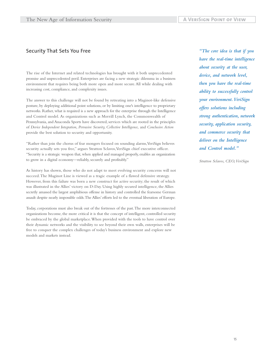### **Security That Sets You Free**

The rise of the Internet and related technologies has brought with it both unprecedented promise and unprecedented peril. Enterprises are facing a new strategic dilemma in a business environment that requires being both more open and more secure.All while dealing with increasing cost, compliance, and complexity issues.

The answer to this challenge will not be found by retreating into a Maginot-like defensive posture, by deploying additional point solutions, or by limiting one's intelligence to proprietary networks. Rather, what is required is a new approach for the enterprise through the Intelligence and Control model. As organizations such as Merrill Lynch, the Commonwealth of Pennsylvania, and Anaconda Sports have discovered, services which are rooted in the principles of *Device Independent Integration, Pervasive Security, Collective Intelligence,* and *Conclusive Action* provide the best solution to security and opportunity.

"Rather than join the chorus of fear mongers focused on sounding alarms,VeriSign believes security actually sets you free," argues Stratton Sclavos, VeriSign chief executive officer. "Security is a strategic weapon that, when applied and managed properly, enables an organization to grow in a digital economy—reliably, securely and profitably."

As history has shown, those who do not adapt to meet evolving security concerns will not succeed.The Maginot Line is viewed as a tragic example of a flawed defensive strategy. However, from this failure was born a new construct for active security; the result of which was illustrated in the Allies' victory on D-Day. Using highly secured intelligence, the Allies secretly amassed the largest amphibious offense in history and controlled the fearsome German assault despite nearly impossible odds.The Allies' efforts led to the eventual liberation of Europe.

Today, corporations must also break out of the fortresses of the past.The more interconnected organizations become, the more critical it is that the concept of intelligent, controlled security be embraced by the global marketplace.When provided with the tools to have control over their dynamic networks and the visibility to see beyond their own walls, enterprises will be free to conquer the complex challenges of today's business environment and explore new models and markets instead.

*"The core idea is that if you have the real-time intelligence about security at the user, device, and network level, then you have the real-time ability to successfully control your environment.VeriSign offers solutions including strong authentication, network security, application security, and commerce security that deliver on the Intelligence and Control model."*

*Stratton Sclavos, CEO,VeriSign*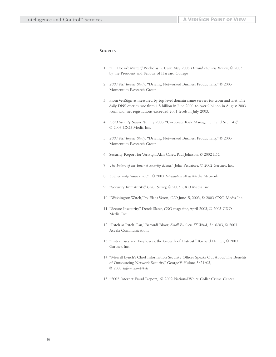#### **Sources**

- 1. "IT Doesn't Matter," Nicholas G. Carr, May 2003 *Harvard Business Review,* © 2003 by the President and Fellows of Harvard College
- 2. *2003 Net Impact Study:* "Driving Networked Business Productivity," © 2003 Momentum Research Group
- 3. From VeriSign as measured by top level domain name servers for .com and .net.The daily DNS queries rose from 1.5 billion in June 2000, to over 9 billion in August 2003. .com and .net registrations exceeded 2001 levels in July 2003.
- 4. *CSO Security Sensor IV*, July 2003:"Corporate Risk Management and Security," © 2003 CXO Media Inc.
- 5. *2003 Net Impact Study:* "Driving Networked Business Productivity," © 2003 Momentum Research Group
- 6. Security Report for VeriSign,Alan Carey, Paul Johnson, © 2002 IDC
- 7. *The Future of the Internet Security Market,* John Pescatore, © 2002 Gartner, Inc.
- 8. *U.S. Security Survey 2003,* © 2003 *Information Week* Media Network
- 9. "Security Immaturity," *CSO Survey,* © 2003 CXO Media Inc.
- 10. "Washington Watch," by Elana Veron, *CIO* June15, 2003, © 2003 CXO Media Inc.
- 11. "Secure Insecurity," Derek Slater, *CSO* magazine,April 2003, © 2003 CXO Media, Inc.
- 12. "Patch as Patch Can," Baroudi Bloor, *Small Business IT World,* 5/16/03, © 2003 Accela Communications
- 13. "Enterprises and Employees: the Growth of Distrust," Richard Hunter, © 2003 Gartner, Inc.
- 14. "Merrill Lynch's Chief Information Security Officer Speaks Out About The Benefits of Outsourcing Network Security," George V. Hulme, 5/21/03, © 2003 *InformationWeek*
- 15. "2002 Internet Fraud Report," © 2002 National White Collar Crime Center